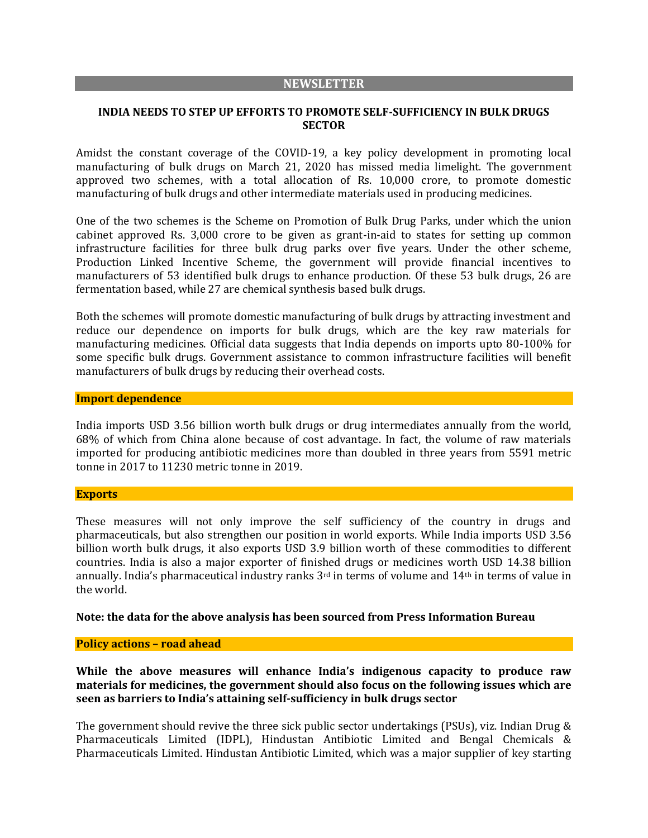#### **NEWSLETTER**

## **INDIA NEEDS TO STEP UP EFFORTS TO PROMOTE SELF-SUFFICIENCY IN BULK DRUGS SECTOR**

Amidst the constant coverage of the COVID-19, a key policy development in promoting local manufacturing of bulk drugs on March 21, 2020 has missed media limelight. The government approved two schemes, with a total allocation of Rs. 10,000 crore, to promote domestic manufacturing of bulk drugs and other intermediate materials used in producing medicines.

One of the two schemes is the Scheme on Promotion of Bulk Drug Parks, under which the union cabinet approved Rs. 3,000 crore to be given as grant-in-aid to states for setting up common infrastructure facilities for three bulk drug parks over five years. Under the other scheme, Production Linked Incentive Scheme, the government will provide financial incentives to manufacturers of 53 identified bulk drugs to enhance production. Of these 53 bulk drugs, 26 are fermentation based, while 27 are chemical synthesis based bulk drugs.

Both the schemes will promote domestic manufacturing of bulk drugs by attracting investment and reduce our dependence on imports for bulk drugs, which are the key raw materials for manufacturing medicines. Official data suggests that India depends on imports upto 80-100% for some specific bulk drugs. Government assistance to common infrastructure facilities will benefit manufacturers of bulk drugs by reducing their overhead costs.

### **Import dependence**

India imports USD 3.56 billion worth bulk drugs or drug intermediates annually from the world, 68% of which from China alone because of cost advantage. In fact, the volume of raw materials imported for producing antibiotic medicines more than doubled in three years from 5591 metric tonne in 2017 to 11230 metric tonne in 2019.

#### **Exports**

These measures will not only improve the self sufficiency of the country in drugs and pharmaceuticals, but also strengthen our position in world exports. While India imports USD 3.56 billion worth bulk drugs, it also exports USD 3.9 billion worth of these commodities to different countries. India is also a major exporter of finished drugs or medicines worth USD 14.38 billion annually. India's pharmaceutical industry ranks 3rd in terms of volume and 14th in terms of value in the world.

### **Note: the data for the above analysis has been sourced from Press Information Bureau**

### **Policy actions – road ahead**

**While the above measures will enhance India's indigenous capacity to produce raw materials for medicines, the government should also focus on the following issues which are seen as barriers to India's attaining self-sufficiency in bulk drugs sector**

The government should revive the three sick public sector undertakings (PSUs), viz. Indian Drug & Pharmaceuticals Limited (IDPL), Hindustan Antibiotic Limited and Bengal Chemicals & Pharmaceuticals Limited. Hindustan Antibiotic Limited, which was a major supplier of key starting